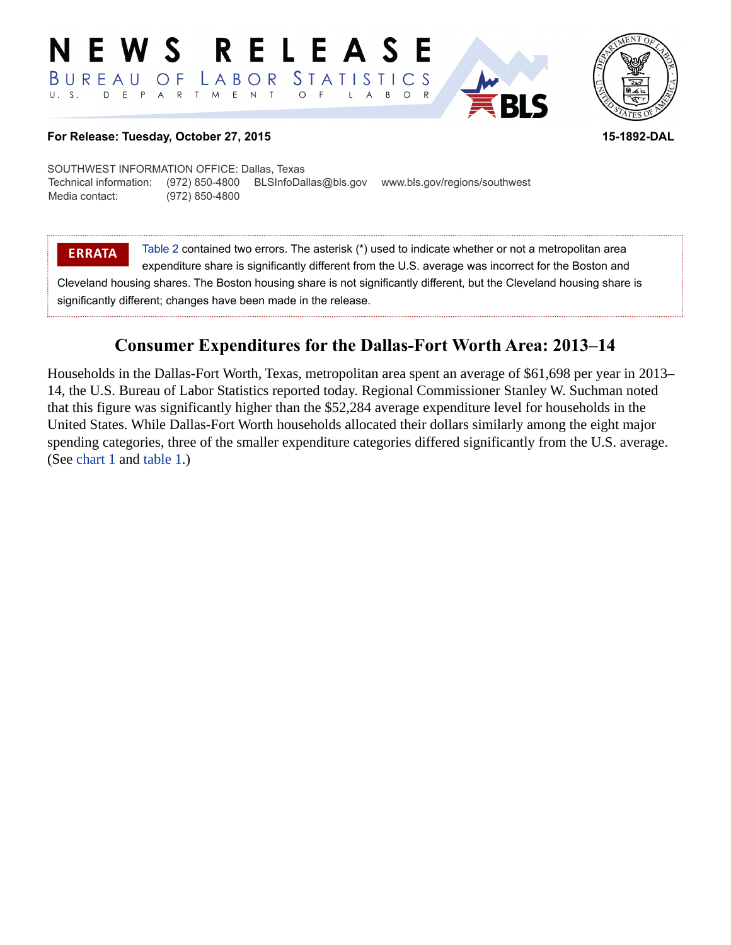#### E W S **RELEASE** *STATISTICS* BUREAU LABOR O F D E P A R T M E N T  $U. S.$  $\circ$  $B$  $\circ$ L  $\overline{A}$



## **For Release: Tuesday, October 27, 2015 15-1892-DAL**

SOUTHWEST INFORMATION OFFICE: Dallas, Texas Technical information: (972) 850-4800 BLSInfoDallas@bls.gov www.bls.gov/regions/southwest Media contact: (972) 850-4800

**ERRATA** [Table 2](#page-4-0) contained two errors. The asterisk (\*) used to indicate whether or not a metropolitan area expenditure share is significantly different from the U.S. average was incorrect for the Boston and Cleveland housing shares. The Boston housing share is not significantly different, but the Cleveland housing share is significantly different; changes have been made in the release.

# **Consumer Expenditures for the Dallas-Fort Worth Area: 2013–14**

Households in the Dallas-Fort Worth, Texas, metropolitan area spent an average of \$61,698 per year in 2013– 14, the U.S. Bureau of Labor Statistics reported today. Regional Commissioner Stanley W. Suchman noted that this figure was significantly higher than the \$52,284 average expenditure level for households in the United States. While Dallas-Fort Worth households allocated their dollars similarly among the eight major spending categories, three of the smaller expenditure categories differed significantly from the U.S. average. (See [chart 1](#page-1-0) and [table 1.](#page-3-0))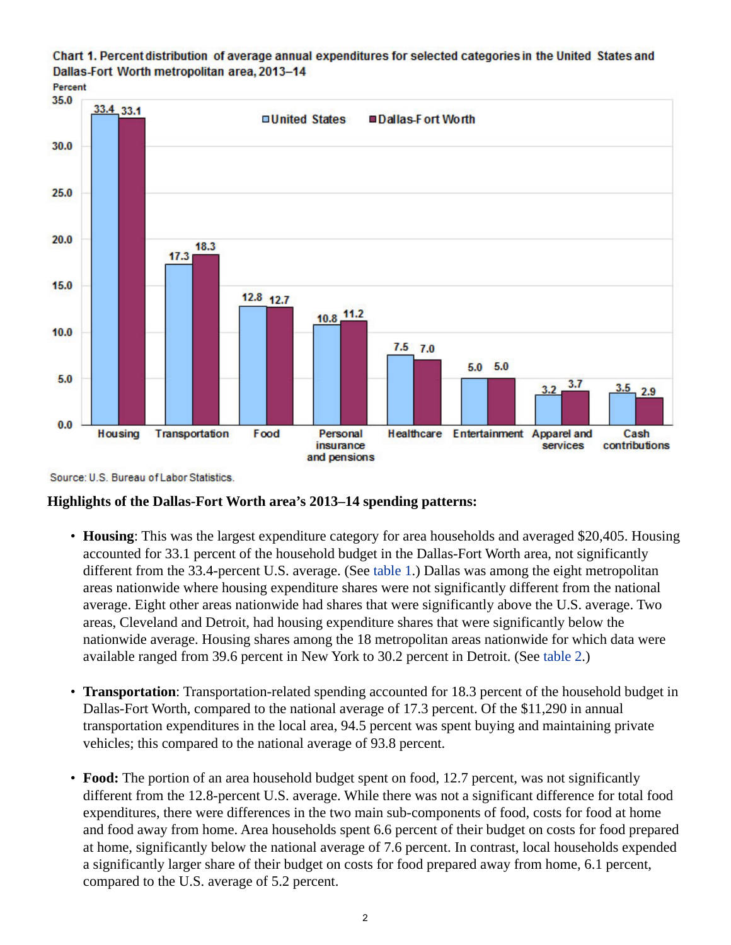<span id="page-1-0"></span>Chart 1. Percent distribution of average annual expenditures for selected categories in the United States and Dallas-Fort Worth metropolitan area, 2013-14



Source: U.S. Bureau of Labor Statistics.

# **Highlights of the Dallas-Fort Worth area's 2013–14 spending patterns:**

- **Housing**: This was the largest expenditure category for area households and averaged \$20,405. Housing accounted for 33.1 percent of the household budget in the Dallas-Fort Worth area, not significantly different from the 33.4-percent U.S. average. (See [table 1](#page-3-0).) Dallas was among the eight metropolitan areas nationwide where housing expenditure shares were not significantly different from the national average. Eight other areas nationwide had shares that were significantly above the U.S. average. Two areas, Cleveland and Detroit, had housing expenditure shares that were significantly below the nationwide average. Housing shares among the 18 metropolitan areas nationwide for which data were available ranged from 39.6 percent in New York to 30.2 percent in Detroit. (See [table 2.](#page-4-0))
- **Transportation**: Transportation-related spending accounted for 18.3 percent of the household budget in Dallas-Fort Worth, compared to the national average of 17.3 percent. Of the \$11,290 in annual transportation expenditures in the local area, 94.5 percent was spent buying and maintaining private vehicles; this compared to the national average of 93.8 percent.
- **Food:** The portion of an area household budget spent on food, 12.7 percent, was not significantly different from the 12.8-percent U.S. average. While there was not a significant difference for total food expenditures, there were differences in the two main sub-components of food, costs for food at home and food away from home. Area households spent 6.6 percent of their budget on costs for food prepared at home, significantly below the national average of 7.6 percent. In contrast, local households expended a significantly larger share of their budget on costs for food prepared away from home, 6.1 percent, compared to the U.S. average of 5.2 percent.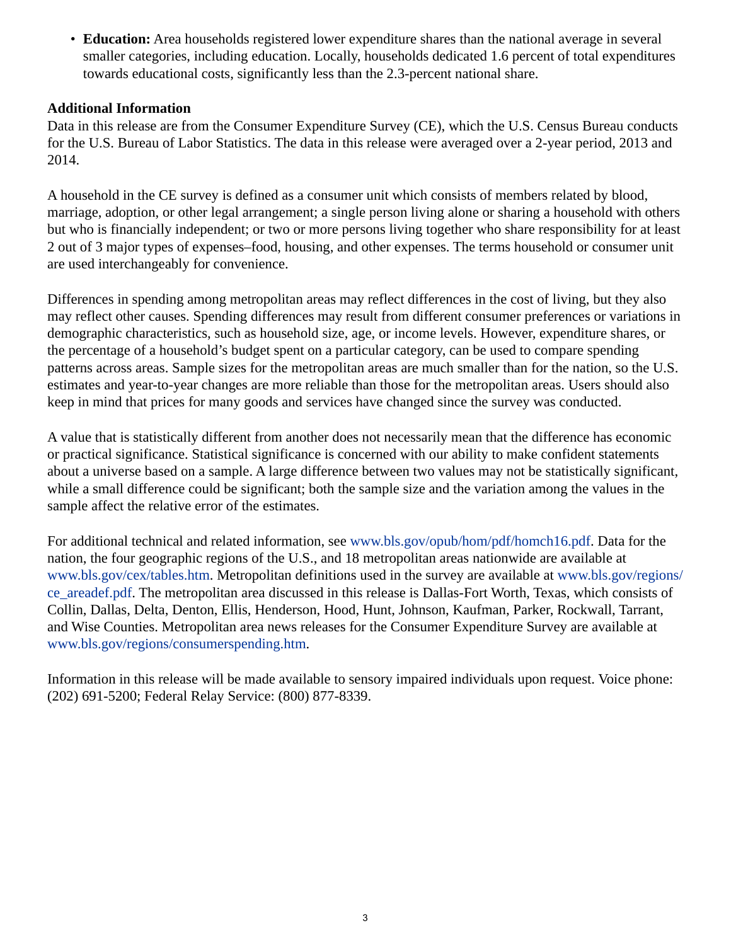• **Education:** Area households registered lower expenditure shares than the national average in several smaller categories, including education. Locally, households dedicated 1.6 percent of total expenditures towards educational costs, significantly less than the 2.3-percent national share.

# **Additional Information**

Data in this release are from the Consumer Expenditure Survey (CE), which the U.S. Census Bureau conducts for the U.S. Bureau of Labor Statistics. The data in this release were averaged over a 2-year period, 2013 and 2014.

A household in the CE survey is defined as a consumer unit which consists of members related by blood, marriage, adoption, or other legal arrangement; a single person living alone or sharing a household with others but who is financially independent; or two or more persons living together who share responsibility for at least 2 out of 3 major types of expenses–food, housing, and other expenses. The terms household or consumer unit are used interchangeably for convenience.

Differences in spending among metropolitan areas may reflect differences in the cost of living, but they also may reflect other causes. Spending differences may result from different consumer preferences or variations in demographic characteristics, such as household size, age, or income levels. However, expenditure shares, or the percentage of a household's budget spent on a particular category, can be used to compare spending patterns across areas. Sample sizes for the metropolitan areas are much smaller than for the nation, so the U.S. estimates and year-to-year changes are more reliable than those for the metropolitan areas. Users should also keep in mind that prices for many goods and services have changed since the survey was conducted.

A value that is statistically different from another does not necessarily mean that the difference has economic or practical significance. Statistical significance is concerned with our ability to make confident statements about a universe based on a sample. A large difference between two values may not be statistically significant, while a small difference could be significant; both the sample size and the variation among the values in the sample affect the relative error of the estimates.

For additional technical and related information, see [www.bls.gov/opub/hom/pdf/homch16.pdf.](https://www.bls.gov/opub/hom/pdf/homch16.pdf) Data for the nation, the four geographic regions of the U.S., and 18 metropolitan areas nationwide are available at [www.bls.gov/cex/tables.htm.](https://www.bls.gov/cex/tables.htm) Metropolitan definitions used in the survey are available at [www.bls.gov/regions/](https://www.bls.gov/regions/ce_areadef.pdf) [ce\\_areadef.pdf.](https://www.bls.gov/regions/ce_areadef.pdf) The metropolitan area discussed in this release is Dallas-Fort Worth, Texas, which consists of Collin, Dallas, Delta, Denton, Ellis, Henderson, Hood, Hunt, Johnson, Kaufman, Parker, Rockwall, Tarrant, and Wise Counties. Metropolitan area news releases for the Consumer Expenditure Survey are available at [www.bls.gov/regions/consumerspending.htm](https://www.bls.gov/regions/consumerspending.htm).

Information in this release will be made available to sensory impaired individuals upon request. Voice phone: (202) 691-5200; Federal Relay Service: (800) 877-8339.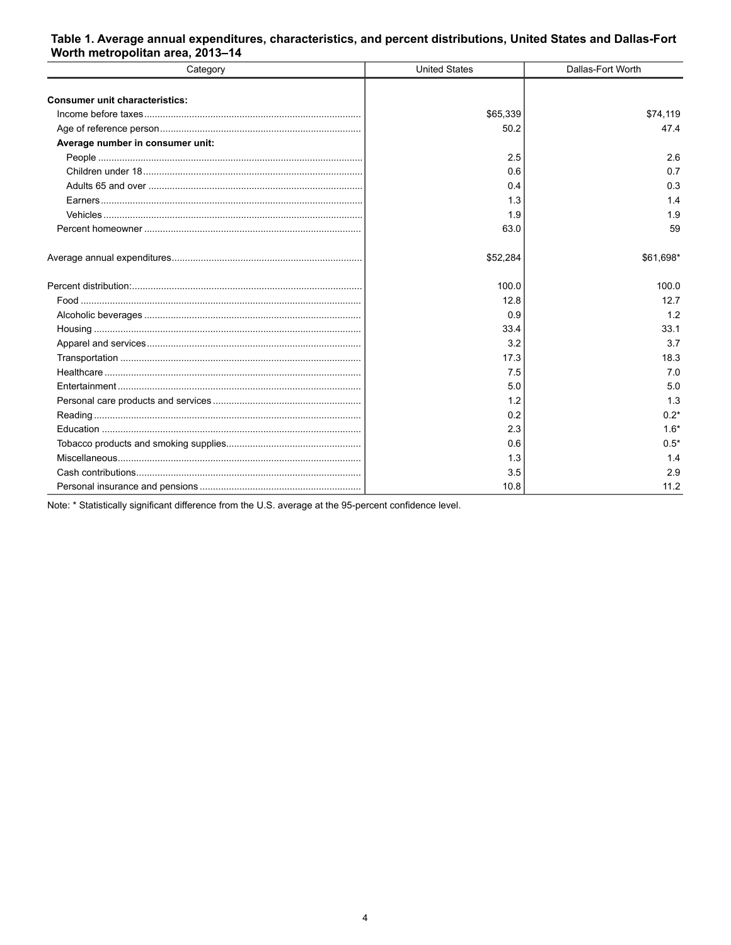### <span id="page-3-0"></span>Table 1. Average annual expenditures, characteristics, and percent distributions, United States and Dallas-Fort Worth metropolitan area, 2013-14

| Category                              | <b>United States</b> | Dallas-Fort Worth |
|---------------------------------------|----------------------|-------------------|
|                                       |                      |                   |
| <b>Consumer unit characteristics:</b> |                      |                   |
|                                       | \$65,339             | \$74,119          |
|                                       | 50.2                 | 47.4              |
| Average number in consumer unit:      |                      |                   |
|                                       | 2.5                  | 2.6               |
|                                       | 0.6                  | 0.7               |
|                                       | 0.4                  | 0.3               |
|                                       | 1.3                  | 14                |
|                                       | 1.9                  | 1.9               |
|                                       | 63.0                 | 59                |
|                                       | \$52,284             | \$61,698*         |
|                                       | 100.0                | 100.0             |
|                                       | 12.8                 | 12.7              |
|                                       | 0.9                  | 1.2               |
|                                       | 33.4                 | 33.1              |
|                                       | 3.2                  | 3.7               |
|                                       | 17.3                 | 18.3              |
|                                       | 7.5                  | 7.0               |
|                                       | 5.0                  | 5.0               |
|                                       | 1.2                  | 1.3               |
|                                       | 0.2                  | $0.2*$            |
|                                       | 2.3                  | $1.6*$            |
|                                       | 0.6                  | $0.5*$            |
|                                       | 1.3                  | 1.4               |
|                                       | 3.5                  | 2.9               |
|                                       | 10.8                 | 11.2              |

Note: \* Statistically significant difference from the U.S. average at the 95-percent confidence level.